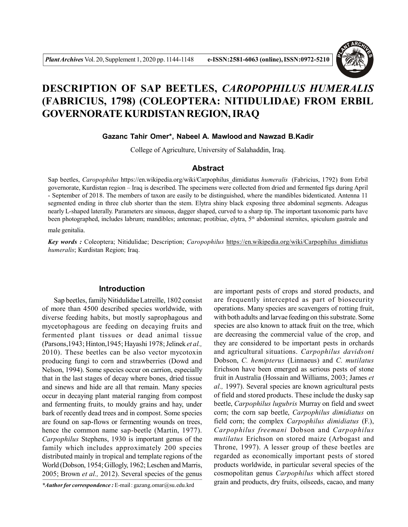

# **DESCRIPTION OF SAP BEETLES,** *CAROPOPHILUS HUMERALIS* **(FABRICIUS, 1798) (COLEOPTERA: NITIDULIDAE) FROM ERBIL GOVERNORATE KURDISTAN REGION, IRAQ**

**Gazanc Tahir Omer\*, Nabeel A. Mawlood and Nawzad B.Kadir**

College of Agriculture, University of Salahaddin, Iraq.

## **Abstract**

Sap beetles, *Caropophilus* https://en.wikipedia.org/wiki/Carpophilus\_dimidiatus *humeralis*  (Fabricius, 1792) from Erbil governorate, Kurdistan region – Iraq is described. The specimens were collected from dried and fermented figs during April - September of 2018. The members of taxon are easily to be distinguished, where the mandibles bidenticated. Antenna 11 segmented ending in three club shorter than the stem. Elytra shiny black exposing three abdominal segments. Adeagus nearly L-shaped laterally. Parameters are sinuous, dagger shaped, curved to a sharp tip. The important taxonomic parts have been photographed, includes labrum; mandibles; antennae; protibiae, elytra, 5<sup>th</sup> abdominal sternites, spiculum gastrale and

male genitalia.

*Key words :* Coleoptera; Nitidulidae; Description; *Caropophilus* https://en.wikipedia.org/wiki/Carpophilus\_dimidiatus *humeralis*; Kurdistan Region; Iraq.

## **Introduction**

Sap beetles, family Nitidulidae Latreille, 1802 consist of more than 4500 described species worldwide, with diverse feeding habits, but mostly saprophagous and mycetophagous are feeding on decaying fruits and fermented plant tissues or dead animal tissue (Parsons,1943; Hinton,1945; Hayashi 1978; Jelinek *et al.,* 2010). These beetles can be also vector mycotoxin producing fungi to corn and strawberries (Dowd and Nelson, 1994). Some species occur on carrion, especially that in the last stages of decay where bones, dried tissue and sinews and hide are all that remain. Many species occur in decaying plant material ranging from compost and fermenting fruits, to mouldy grains and hay, under bark of recently dead trees and in compost. Some species are found on sap-flows or fermenting wounds on trees, hence the common name sap-beetle (Martin, 1977). *Carpophilus* Stephens, 1930 is important genus of the family which includes approximately 200 species distributed mainly in tropical and template regions of the World (Dobson, 1954; Gillogly, 1962; Leschen and Marris, 2005; Brown *et al.,* 2012). Several species of the genus

are important pests of crops and stored products, and are frequently intercepted as part of biosecurity operations. Many species are scavengers of rotting fruit, with both adults and larvae feeding on this substrate. Some species are also known to attack fruit on the tree, which are decreasing the commercial value of the crop, and they are considered to be important pests in orchards and agricultural situations. *Carpophilus davidsoni* Dobson, *C. hemipterus* (Linnaeus) and *C. mutilatus* Erichson have been emerged as serious pests of stone fruit in Australia (Hossain and Williams, 2003; James *et al.,* 1997). Several species are known agricultural pests of field and stored products. These include the dusky sap beetle, *Carpophilus lugubris* Murray on field and sweet corn; the corn sap beetle, *Carpophilus dimidiatus* on field corn; the complex *Carpophilus dimidiatus* (F.), *Carpophilus freemani* Dobson and *Carpophilus mutilatus* Erichson on stored maize (Arbogast and Throne, 1997). A lesser group of these beetles are regarded as economically important pests of stored products worldwide, in particular several species of the cosmopolitan genus *Carpophilus* which affect stored grain and products, dry fruits, oilseeds, cacao, and many

*<sup>\*</sup>Author for correspondence :* E-mail : gazang.omar@su.edu.krd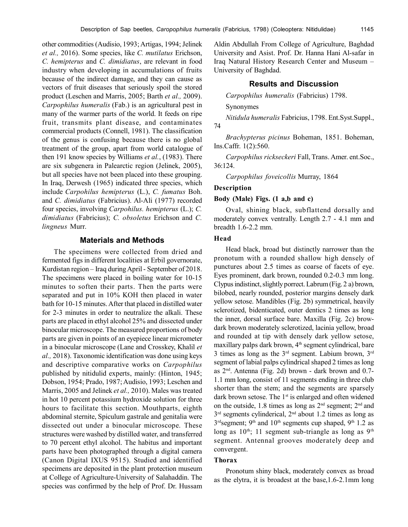other commodities (Audisio, 1993; Artigas, 1994; Jelinek *et al.,* 2016). Some species, like *C. mutilatus* Erichson, *C. hemipterus* and *C. dimidiatus*, are relevant in food industry when developing in accumulations of fruits because of the indirect damage, and they can cause as vectors of fruit diseases that seriously spoil the stored product (Leschen and Marris, 2005; Barth *et al.,* 2009). *Carpophilus humeralis* (Fab.) is an agricultural pest in many of the warmer parts of the world. It feeds on ripe fruit, transmits plant disease, and contaminates commercial products (Connell, 1981). The classification of the genus is confusing because there is no global treatment of the group, apart from world catalogue of then 191 know species by Williams *et al.*, (1983). There are six subgenera in Palearctic region (Jelinek, 2005), but all species have not been placed into these grouping. In Iraq, Derwesh (1965) indicated three species, which include *Carpohilus hemipterus* (L.), *C. fumatus* Boh. and *C. dimidiatus* (Fabricius). Al-Ali (1977) recorded four species, involving *Carpohilus. hemipterus* (L.); *C. dimidiatus* (Fabricius); *C. obsoletus* Erichson and *C. lingneus* Murr.

#### **Materials and Methods**

The specimens were collected from dried and fermented figs in different localities at Erbil governorate, Kurdistan region – Iraq during April - September of 2018. The specimens were placed in boiling water for 10-15 minutes to soften their parts. Then the parts were separated and put in 10% KOH then placed in water bath for 10-15 minutes. After that placed in distilled water for 2-3 minutes in order to neutralize the alkali. These parts are placed in ethyl alcohol 25% and dissected under binocular microscope. The measured proportions of body parts are given in points of an eyepiece linear micrometer in a binocular microscope (Lane and Crosskey, Khalil *et al.,* 2018). Taxonomic identification was done using keys and descriptive comparative works on *Carpophilus* published by nitidulid experts, mainly: (Hinton, 1945; Dobson, 1954; Prado, 1987; Audisio, 1993; Leschen and Marris, 2005 and Jelinek *et al.,* 2010). Males was treated in hot 10 percent potassium hydroxide solution for three hours to facilitate this section. Mouthparts, eighth abdominal sternite, Spiculum gastrale and genitalia were dissected out under a binocular microscope. These structures were washed by distilled water, and transferred to 70 percent ethyl alcohol. The habitus and important parts have been photographed through a digital camera (Canon Digital IXUS 9515). Studied and identified specimens are deposited in the plant protection museum at College of Agriculture-University of Salahaddin. The species was confirmed by the help of Prof. Dr. Hussam Aldin Abdullah From College of Agriculture, Baghdad University and Asist. Prof. Dr. Hanna Hani Al-safar in Iraq Natural History Research Center and Museum – University of Baghdad.

## **Results and Discussion**

*Carpophilus humeralis* (Fabricius) 1798.

Synonymes

*Nitidula humeralis* Fabricius, 1798. Ent.Syst.Suppl., 74

*Brachypterus picinus* Boheman, 1851. Boheman, Ins.Caffr. 1(2):560.

*Carpophilus rickseckeri* Fall, Trans. Amer. ent.Soc., 36:124.

*Carpophilus foveicollis* Murray, 1864

#### **Description**

#### **Body (Male) Figs. (1 a,b and c)**

Oval, shining black, subflattend dorsally and moderately convex ventrally. Length 2.7 - 4.1 mm and breadth 1.6-2.2 mm.

#### **Head**

Head black, broad but distinctly narrower than the pronotum with a rounded shallow high densely of punctures about 2.5 times as coarse of facets of eye. Eyes prominent, dark brown, rounded 0.2-0.3 mm long. Clypus indistinct, slightly porrect. Labrum (Fig. 2 a) brown, bilobed, nearly rounded, posterior margins densely dark yellow setose. Mandibles (Fig. 2b) symmetrical, heavily sclerotized, bidenticated, outer dentics 2 times as long the inner, dorsal surface bare. Maxilla (Fig. 2c) browdark brown moderately sclerotized, lacinia yellow, broad and rounded at tip with densely dark yellow setose, maxillary palps dark brown,  $4<sup>th</sup>$  segment cylindrical, bare 3 times as long as the  $3<sup>rd</sup>$  segment. Labium brown,  $3<sup>rd</sup>$ segment of labial palps cylindrical shaped 2 times as long as 2nd. Antenna (Fig. 2d) brown - dark brown and 0.7- 1.1 mm long, consist of 11 segments ending in three club shorter than the stem; and the segments are sparsely dark brown setose. The 1<sup>st</sup> is enlarged and often widened on the outside, 1.8 times as long as 2nd segment; 2nd and 3 rd segments cylinderical, 2nd about 1.2 times as long as  $3<sup>rd</sup> segment$ ; 9<sup>th</sup> and 10<sup>th</sup> segments cup shaped, 9<sup>th</sup> 1.2 as long as  $10^{th}$ ; 11 segment sub-triangle as long as  $9^{th}$ segment. Antennal grooves moderately deep and convergent.

## **Thorax**

Pronotum shiny black, moderately convex as broad as the elytra, it is broadest at the base,1.6-2.1mm long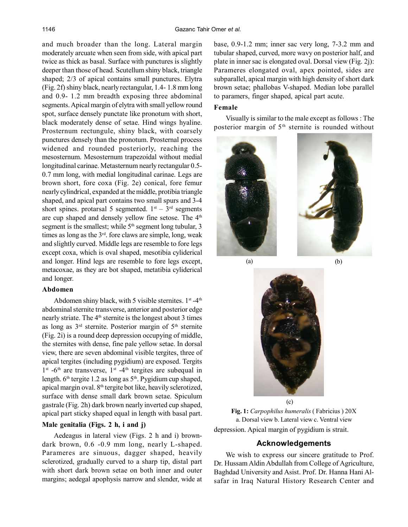and much broader than the long. Lateral margin moderately arcuate when seen from side, with apical part twice as thick as basal. Surface with punctures is slightly deeper than those of head. Scutellum shiny black, triangle shaped; 2/3 of apical contains small punctures. Elytra (Fig. 2f) shiny black, nearly rectangular, 1.4- 1.8 mm long and 0.9- 1.2 mm breadth exposing three abdominal segments. Apical margin of elytra with small yellow round spot, surface densely punctate like pronotum with short, black moderately dense of setae. Hind wings hyaline. Prosternum rectungule, shiny black, with coarsely punctures densely than the pronotum. Prosternal process widened and rounded posteriorly, reaching the mesosternum. Mesosternum trapezoidal without medial longitudinal carinae. Metasternum nearly rectangular 0.5- 0.7 mm long, with medial longitudinal carinae. Legs are brown short, fore coxa (Fig. 2e) conical, fore femur nearly cylindrical, expanded at the middle, protibia triangle shaped, and apical part contains two small spurs and 3-4 short spines. protarsal 5 segmented.  $1<sup>st</sup> - 3<sup>rd</sup>$  segments are cup shaped and densely yellow fine setose. The 4<sup>th</sup> segment is the smallest; while  $5<sup>th</sup>$  segment long tubular, 3 times as long as the  $3<sup>rd</sup>$ . fore claws are simple, long, weak and slightly curved. Middle legs are resemble to fore legs except coxa, which is oval shaped, mesotibia cyliderical and longer. Hind legs are resemble to fore legs except, metacoxae, as they are bot shaped, metatibia cyliderical and longer.

## **Abdomen**

Abdomen shiny black, with 5 visible sternites.  $1<sup>st</sup> - 4<sup>th</sup>$ abdominal sternite transverse, anterior and posterior edge nearly striate. The 4<sup>th</sup> sternite is the longest about 3 times as long as  $3<sup>rd</sup>$  sternite. Posterior margin of  $5<sup>th</sup>$  sternite (Fig. 2i) is a round deep depression occupying of middle, the sternites with dense, fine pale yellow setae. In dorsal view, there are seven abdominal visible tergites, three of apical tergites (including pygidium) are exposed. Tergits  $1<sup>st</sup>$  -6<sup>th</sup> are transverse,  $1<sup>st</sup>$  -4<sup>th</sup> tergites are subequal in length.  $6<sup>th</sup>$  tergite 1.2 as long as  $5<sup>th</sup>$ . Pygidium cup shaped, apical margin oval. 8th tergite bot like, heavily sclerotized, surface with dense small dark brown setae. Spiculum gastrale (Fig. 2h) dark brown nearly inverted cup shaped, apical part sticky shaped equal in length with basal part.

## **Male genitalia (Figs. 2 h, i and j)**

Aedeagus in lateral view (Figs. 2 h and i) browndark brown, 0.6 -0.9 mm long, nearly L-shaped. Parameres are sinuous, dagger shaped, heavily sclerotized, gradually curved to a sharp tip, distal part with short dark brown setae on both inner and outer margins; aedegal apophysis narrow and slender, wide at base, 0.9-1.2 mm; inner sac very long, 7-3.2 mm and tubular shaped, curved, more wavy on posterior half, and plate in inner sac is elongated oval. Dorsal view (Fig. 2j): Parameres elongated oval, apex pointed, sides are subparallel, apical margin with high density of short dark brown setae; phallobas V-shaped. Median lobe parallel to paramers, finger shaped, apical part acute.

## **Female**

Visually is similar to the male except as follows : The posterior margin of 5<sup>th</sup> sternite is rounded without



(a) (b)



**Fig. 1:** *Carpophilus humeralis* ( Fabricius ) 20X a. Dorsal view b. Lateral view c. Ventral view depression. Apical margin of pygidium is strait.

# **Acknowledgements**

We wish to express our sincere gratitude to Prof. Dr. Hussam Aldin Abdullah from College of Agriculture, Baghdad University and Asist. Prof. Dr. Hanna Hani Alsafar in Iraq Natural History Research Center and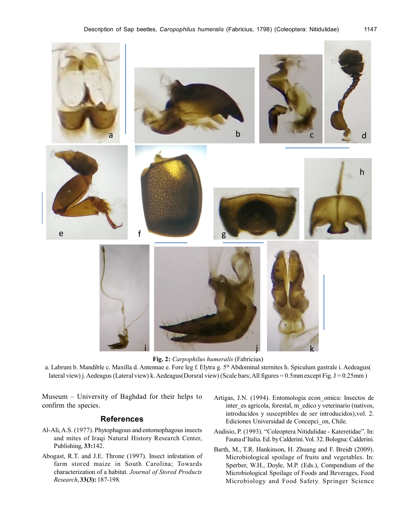

**Fig. 2:** *Carpophilus humeralis* (Fabricius)

a. Labrum b. Mandible c. Maxilla d. Antennae e. Fore leg f. Elytra g. 5th Abdominal sternites h. Spiculum gastrale i. Aedeagus( lateral view) j. Aedeagus (Lateral view) k. Aedeagus(Dorsral view) (Scale bars; All figures = 0.5mm except Fig. J = 0.25mm)

Museum – University of Baghdad for their helps to confirm the species.

### **References**

- Al-Ali, A.S. (1977). Phytophagous and entomophagous insects and mites of Iraqi Natural History Research Center, Publishing, **33:**142.
- Abogast, R.T. and J.E. Throne (1997). Insect infestation of farm stored maize in South Carolina; Towards characterization of a habitat. *Journal of Stored Products Research*, **33(3):** 187-198.
- Artigas, J.N. (1994). Entomología econ\_omica: Insectos de inter\_es agrícola, forestal, m\_edico y veterinario (nativos, introducidos y susceptibles de ser introducidos),vol. 2. Ediciones Universidad de Concepci\_on, Chile.
- Audisio, P. (1993). "Coleoptera Nitidulidae Kateretidae". In: Fauna d'Italia. Ed. by Calderini. Vol. 32. Bologna: Calderini.
- Barth, M., T.R. Hankinson, H. Zhuang and F. Breidt (2009). Microbiological spoilage of fruits and vegetables. In: Sperber, W.H., Doyle, M.P. (Eds.), Compendium of the Microbiological Spoilage of Foods and Beverages, Food Microbiology and Food Safety. Springer Science